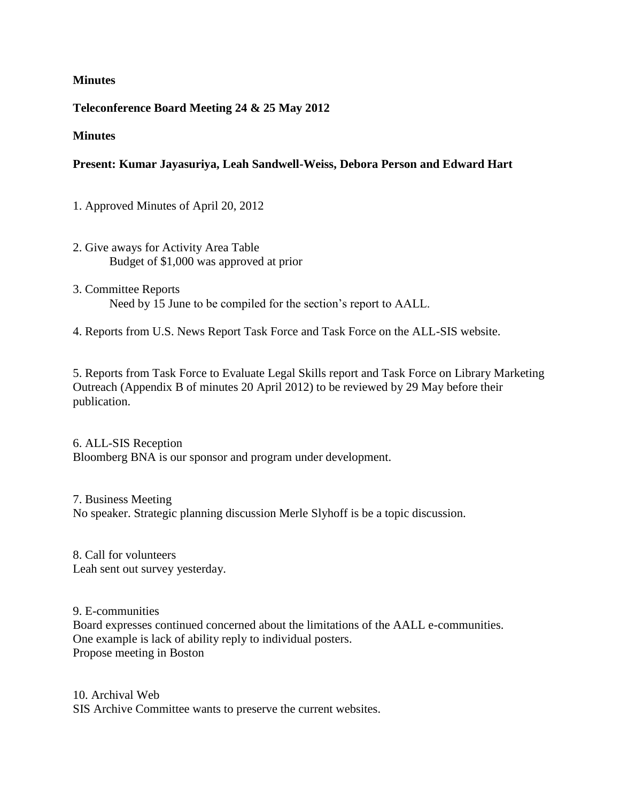### **Minutes**

### **Teleconference Board Meeting 24 & 25 May 2012**

#### **Minutes**

## **Present: Kumar Jayasuriya, Leah Sandwell-Weiss, Debora Person and Edward Hart**

1. Approved Minutes of April 20, 2012

- 2. Give aways for Activity Area Table Budget of \$1,000 was approved at prior
- 3. Committee Reports Need by 15 June to be compiled for the section's report to AALL.
- 4. Reports from U.S. News Report Task Force and Task Force on the ALL-SIS website.

5. Reports from Task Force to Evaluate Legal Skills report and Task Force on Library Marketing Outreach (Appendix B of minutes 20 April 2012) to be reviewed by 29 May before their publication.

6. ALL-SIS Reception Bloomberg BNA is our sponsor and program under development.

7. Business Meeting No speaker. Strategic planning discussion Merle Slyhoff is be a topic discussion.

8. Call for volunteers Leah sent out survey yesterday.

9. E-communities

Board expresses continued concerned about the limitations of the AALL e-communities. One example is lack of ability reply to individual posters. Propose meeting in Boston

10. Archival Web SIS Archive Committee wants to preserve the current websites.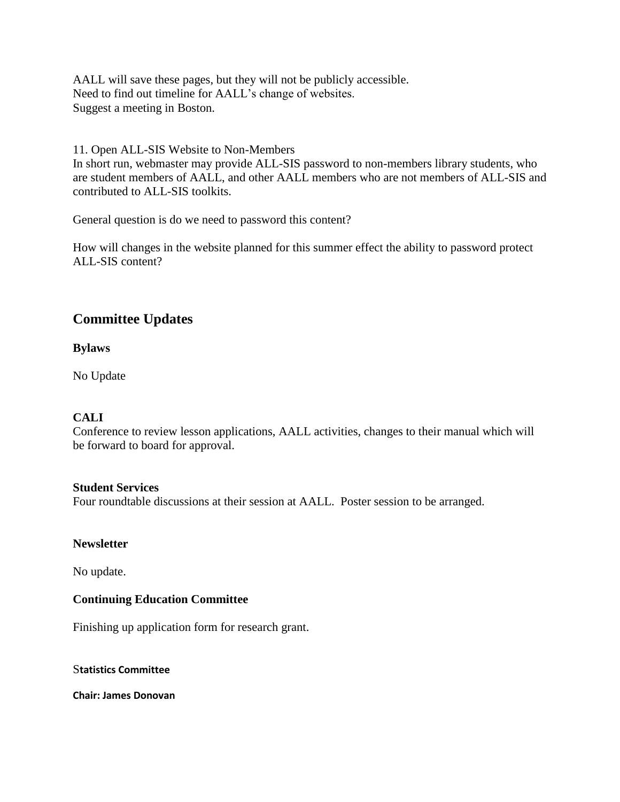AALL will save these pages, but they will not be publicly accessible. Need to find out timeline for AALL's change of websites. Suggest a meeting in Boston.

11. Open ALL-SIS Website to Non-Members

In short run, webmaster may provide ALL-SIS password to non-members library students, who are student members of AALL, and other AALL members who are not members of ALL-SIS and contributed to ALL-SIS toolkits.

General question is do we need to password this content?

How will changes in the website planned for this summer effect the ability to password protect ALL-SIS content?

# **Committee Updates**

**Bylaws**

No Update

# **CALI**

Conference to review lesson applications, AALL activities, changes to their manual which will be forward to board for approval.

#### **Student Services**

Four roundtable discussions at their session at AALL. Poster session to be arranged.

# **Newsletter**

No update.

# **Continuing Education Committee**

Finishing up application form for research grant.

#### S**tatistics Committee**

**Chair: James Donovan**